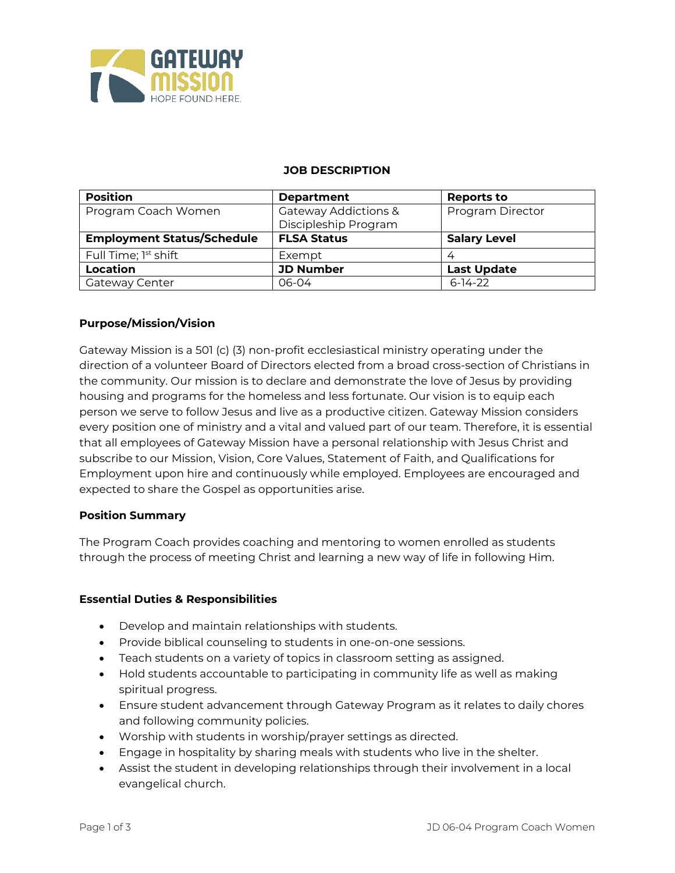

#### **JOB DESCRIPTION**

| <b>Position</b>                   | <b>Department</b>                            | <b>Reports to</b>       |
|-----------------------------------|----------------------------------------------|-------------------------|
| Program Coach Women               | Gateway Addictions &<br>Discipleship Program | <b>Program Director</b> |
| <b>Employment Status/Schedule</b> | <b>FLSA Status</b>                           | <b>Salary Level</b>     |
| Full Time; 1 <sup>st</sup> shift  | Exempt                                       |                         |
| Location                          | <b>JD Number</b>                             | <b>Last Update</b>      |
| Gateway Center                    | 06-04                                        | $6-14-22$               |

### **Purpose/Mission/Vision**

Gateway Mission is a 501 (c) (3) non-profit ecclesiastical ministry operating under the direction of a volunteer Board of Directors elected from a broad cross-section of Christians in the community. Our mission is to declare and demonstrate the love of Jesus by providing housing and programs for the homeless and less fortunate. Our vision is to equip each person we serve to follow Jesus and live as a productive citizen. Gateway Mission considers every position one of ministry and a vital and valued part of our team. Therefore, it is essential that all employees of Gateway Mission have a personal relationship with Jesus Christ and subscribe to our Mission, Vision, Core Values, Statement of Faith, and Qualifications for Employment upon hire and continuously while employed. Employees are encouraged and expected to share the Gospel as opportunities arise.

#### **Position Summary**

The Program Coach provides coaching and mentoring to women enrolled as students through the process of meeting Christ and learning a new way of life in following Him.

#### **Essential Duties & Responsibilities**

- Develop and maintain relationships with students.
- Provide biblical counseling to students in one-on-one sessions.
- Teach students on a variety of topics in classroom setting as assigned.
- Hold students accountable to participating in community life as well as making spiritual progress.
- Ensure student advancement through Gateway Program as it relates to daily chores and following community policies.
- Worship with students in worship/prayer settings as directed.
- Engage in hospitality by sharing meals with students who live in the shelter.
- Assist the student in developing relationships through their involvement in a local evangelical church.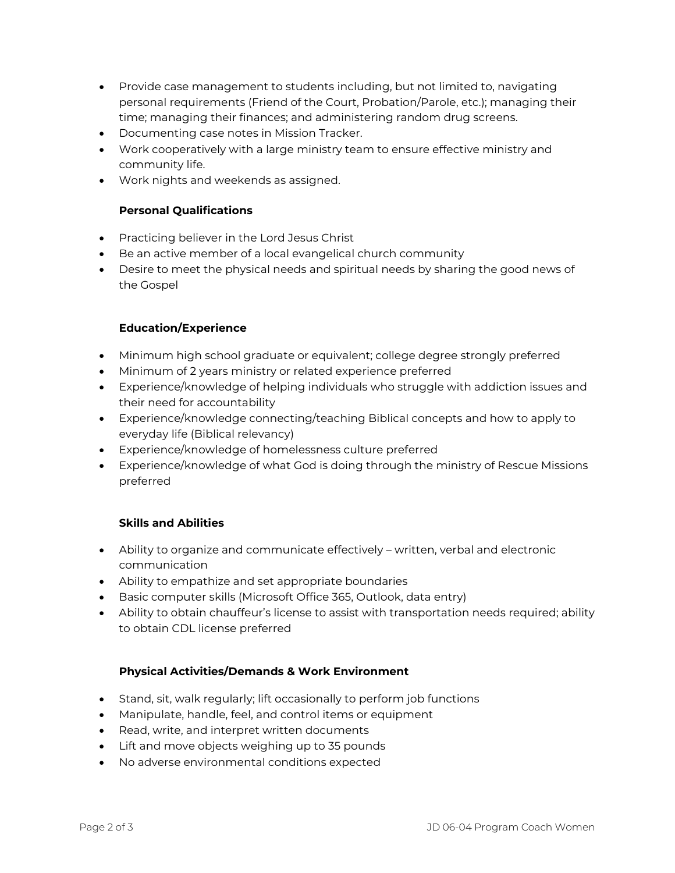- Provide case management to students including, but not limited to, navigating personal requirements (Friend of the Court, Probation/Parole, etc.); managing their time; managing their finances; and administering random drug screens.
- Documenting case notes in Mission Tracker.
- Work cooperatively with a large ministry team to ensure effective ministry and community life.
- Work nights and weekends as assigned.

# **Personal Qualifications**

- Practicing believer in the Lord Jesus Christ
- Be an active member of a local evangelical church community
- Desire to meet the physical needs and spiritual needs by sharing the good news of the Gospel

### **Education/Experience**

- Minimum high school graduate or equivalent; college degree strongly preferred
- Minimum of 2 years ministry or related experience preferred
- Experience/knowledge of helping individuals who struggle with addiction issues and their need for accountability
- Experience/knowledge connecting/teaching Biblical concepts and how to apply to everyday life (Biblical relevancy)
- Experience/knowledge of homelessness culture preferred
- Experience/knowledge of what God is doing through the ministry of Rescue Missions preferred

# **Skills and Abilities**

- Ability to organize and communicate effectively written, verbal and electronic communication
- Ability to empathize and set appropriate boundaries
- Basic computer skills (Microsoft Office 365, Outlook, data entry)
- Ability to obtain chauffeur's license to assist with transportation needs required; ability to obtain CDL license preferred

# **Physical Activities/Demands & Work Environment**

- Stand, sit, walk regularly; lift occasionally to perform job functions
- Manipulate, handle, feel, and control items or equipment
- Read, write, and interpret written documents
- Lift and move objects weighing up to 35 pounds
- No adverse environmental conditions expected